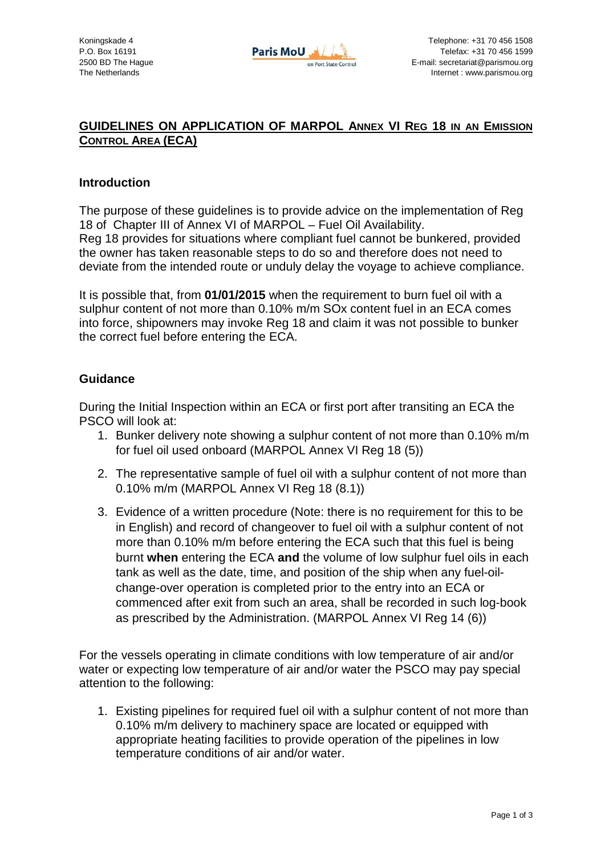

## **GUIDELINES ON APPLICATION OF MARPOL ANNEX VI REG 18 IN AN EMISSION CONTROL AREA (ECA)**

## **Introduction**

The purpose of these guidelines is to provide advice on the implementation of Reg 18 of Chapter III of Annex VI of MARPOL – Fuel Oil Availability.

Reg 18 provides for situations where compliant fuel cannot be bunkered, provided the owner has taken reasonable steps to do so and therefore does not need to deviate from the intended route or unduly delay the voyage to achieve compliance.

It is possible that, from **01/01/2015** when the requirement to burn fuel oil with a sulphur content of not more than 0.10% m/m SOx content fuel in an ECA comes into force, shipowners may invoke Reg 18 and claim it was not possible to bunker the correct fuel before entering the ECA.

## **Guidance**

During the Initial Inspection within an ECA or first port after transiting an ECA the PSCO will look at:

- 1. Bunker delivery note showing a sulphur content of not more than 0.10% m/m for fuel oil used onboard (MARPOL Annex VI Reg 18 (5))
- 2. The representative sample of fuel oil with a sulphur content of not more than 0.10% m/m (MARPOL Annex VI Reg 18 (8.1))
- 3. Evidence of a written procedure (Note: there is no requirement for this to be in English) and record of changeover to fuel oil with a sulphur content of not more than 0.10% m/m before entering the ECA such that this fuel is being burnt **when** entering the ECA **and** the volume of low sulphur fuel oils in each tank as well as the date, time, and position of the ship when any fuel-oilchange-over operation is completed prior to the entry into an ECA or commenced after exit from such an area, shall be recorded in such log-book as prescribed by the Administration. (MARPOL Annex VI Reg 14 (6))

For the vessels operating in climate conditions with low temperature of air and/or water or expecting low temperature of air and/or water the PSCO may pay special attention to the following:

1. Existing pipelines for required fuel oil with a sulphur content of not more than 0.10% m/m delivery to machinery space are located or equipped with appropriate heating facilities to provide operation of the pipelines in low temperature conditions of air and/or water.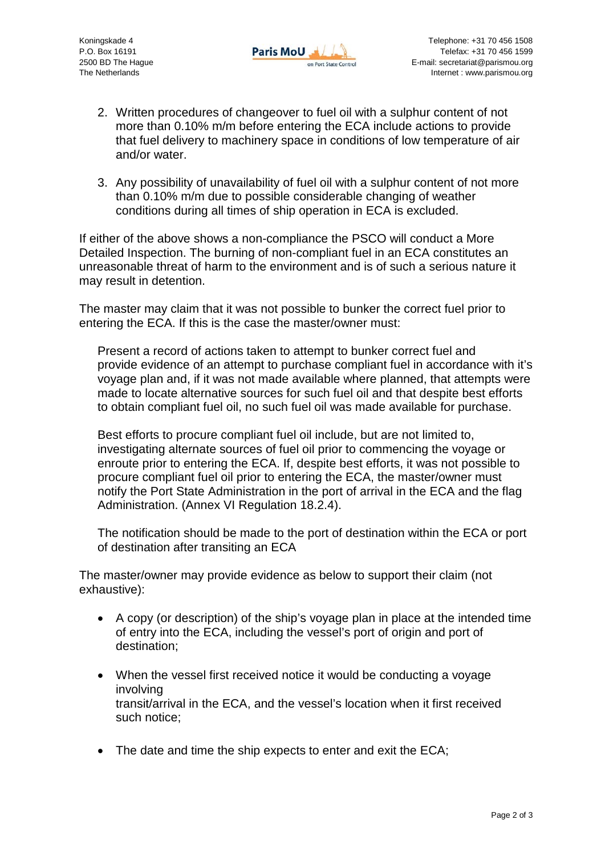

- 2. Written procedures of changeover to fuel oil with a sulphur content of not more than 0.10% m/m before entering the ECA include actions to provide that fuel delivery to machinery space in conditions of low temperature of air and/or water.
- 3. Any possibility of unavailability of fuel oil with a sulphur content of not more than 0.10% m/m due to possible considerable changing of weather conditions during all times of ship operation in ECA is excluded.

If either of the above shows a non-compliance the PSCO will conduct a More Detailed Inspection. The burning of non-compliant fuel in an ECA constitutes an unreasonable threat of harm to the environment and is of such a serious nature it may result in detention.

The master may claim that it was not possible to bunker the correct fuel prior to entering the ECA. If this is the case the master/owner must:

Present a record of actions taken to attempt to bunker correct fuel and provide evidence of an attempt to purchase compliant fuel in accordance with it's voyage plan and, if it was not made available where planned, that attempts were made to locate alternative sources for such fuel oil and that despite best efforts to obtain compliant fuel oil, no such fuel oil was made available for purchase.

Best efforts to procure compliant fuel oil include, but are not limited to, investigating alternate sources of fuel oil prior to commencing the voyage or enroute prior to entering the ECA. If, despite best efforts, it was not possible to procure compliant fuel oil prior to entering the ECA, the master/owner must notify the Port State Administration in the port of arrival in the ECA and the flag Administration. (Annex VI Regulation 18.2.4).

The notification should be made to the port of destination within the ECA or port of destination after transiting an ECA

The master/owner may provide evidence as below to support their claim (not exhaustive):

- A copy (or description) of the ship's voyage plan in place at the intended time of entry into the ECA, including the vessel's port of origin and port of destination;
- When the vessel first received notice it would be conducting a voyage involving transit/arrival in the ECA, and the vessel's location when it first received such notice;
- The date and time the ship expects to enter and exit the ECA: